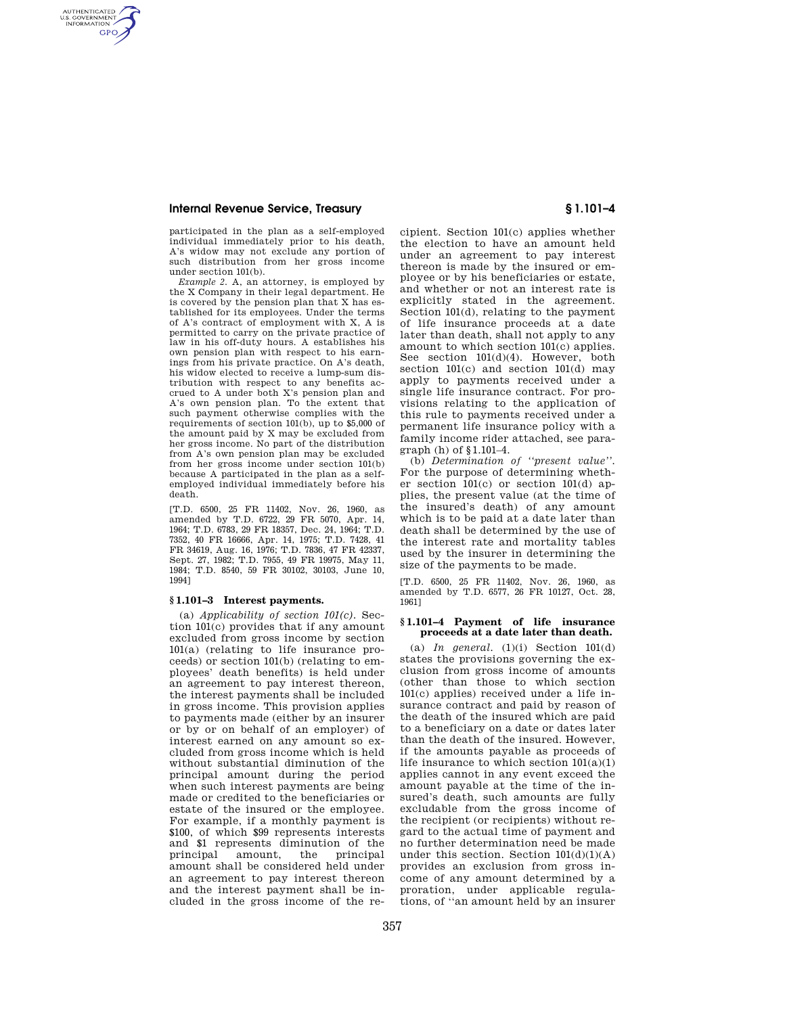AUTHENTICATED<br>U.S. GOVERNMENT<br>INFORMATION **GPO** 

> participated in the plan as a self-employed individual immediately prior to his death, A's widow may not exclude any portion of such distribution from her gross income under section 101(b).

> *Example 2.* A, an attorney, is employed by the X Company in their legal department. He is covered by the pension plan that X has established for its employees. Under the terms of A's contract of employment with X, A is permitted to carry on the private practice of law in his off-duty hours. A establishes his own pension plan with respect to his earnings from his private practice. On A's death, his widow elected to receive a lump-sum distribution with respect to any benefits accrued to A under both X's pension plan and A's own pension plan. To the extent that such payment otherwise complies with the requirements of section 101(b), up to \$5,000 of the amount paid by X may be excluded from her gross income. No part of the distribution from A's own pension plan may be excluded from her gross income under section 101(b) because A participated in the plan as a selfemployed individual immediately before his death.

> [T.D. 6500, 25 FR 11402, Nov. 26, 1960, as amended by T.D. 6722, 29 FR 5070, Apr. 14, 1964; T.D. 6783, 29 FR 18357, Dec. 24, 1964; T.D. 7352, 40 FR 16666, Apr. 14, 1975; T.D. 7428, 41 FR 34619, Aug. 16, 1976; T.D. 7836, 47 FR 42337, Sept. 27, 1982; T.D. 7955, 49 FR 19975, May 11, 1984; T.D. 8540, 59 FR 30102, 30103, June 10, 1994]

# **§ 1.101–3 Interest payments.**

(a) *Applicability of section 101(c).* Section 101(c) provides that if any amount excluded from gross income by section 101(a) (relating to life insurance proceeds) or section 101(b) (relating to employees' death benefits) is held under an agreement to pay interest thereon, the interest payments shall be included in gross income. This provision applies to payments made (either by an insurer or by or on behalf of an employer) of interest earned on any amount so excluded from gross income which is held without substantial diminution of the principal amount during the period when such interest payments are being made or credited to the beneficiaries or estate of the insured or the employee. For example, if a monthly payment is \$100, of which \$99 represents interests and \$1 represents diminution of the principal amount, the principal amount shall be considered held under an agreement to pay interest thereon and the interest payment shall be included in the gross income of the recipient. Section 101(c) applies whether the election to have an amount held under an agreement to pay interest thereon is made by the insured or employee or by his beneficiaries or estate, and whether or not an interest rate is explicitly stated in the agreement. Section 101(d), relating to the payment of life insurance proceeds at a date later than death, shall not apply to any amount to which section 101(c) applies. See section 101(d)(4). However, both section 101(c) and section 101(d) may apply to payments received under a single life insurance contract. For provisions relating to the application of this rule to payments received under a permanent life insurance policy with a family income rider attached, see paragraph (h) of §1.101–4.

(b) *Determination of ''present value''.*  For the purpose of determining whether section 101(c) or section 101(d) applies, the present value (at the time of the insured's death) of any amount which is to be paid at a date later than death shall be determined by the use of the interest rate and mortality tables used by the insurer in determining the size of the payments to be made.

[T.D. 6500, 25 FR 11402, Nov. 26, 1960, as amended by T.D. 6577, 26 FR 10127, Oct. 28, 1961]

## **§ 1.101–4 Payment of life insurance proceeds at a date later than death.**

(a)  $In$  *general.*  $(1)(i)$  Section  $101(d)$ states the provisions governing the exclusion from gross income of amounts (other than those to which section 101(c) applies) received under a life insurance contract and paid by reason of the death of the insured which are paid to a beneficiary on a date or dates later than the death of the insured. However, if the amounts payable as proceeds of life insurance to which section 101(a)(1) applies cannot in any event exceed the amount payable at the time of the insured's death, such amounts are fully excludable from the gross income of the recipient (or recipients) without regard to the actual time of payment and no further determination need be made under this section. Section  $101(d)(1)(A)$ provides an exclusion from gross income of any amount determined by a proration, under applicable regulations, of ''an amount held by an insurer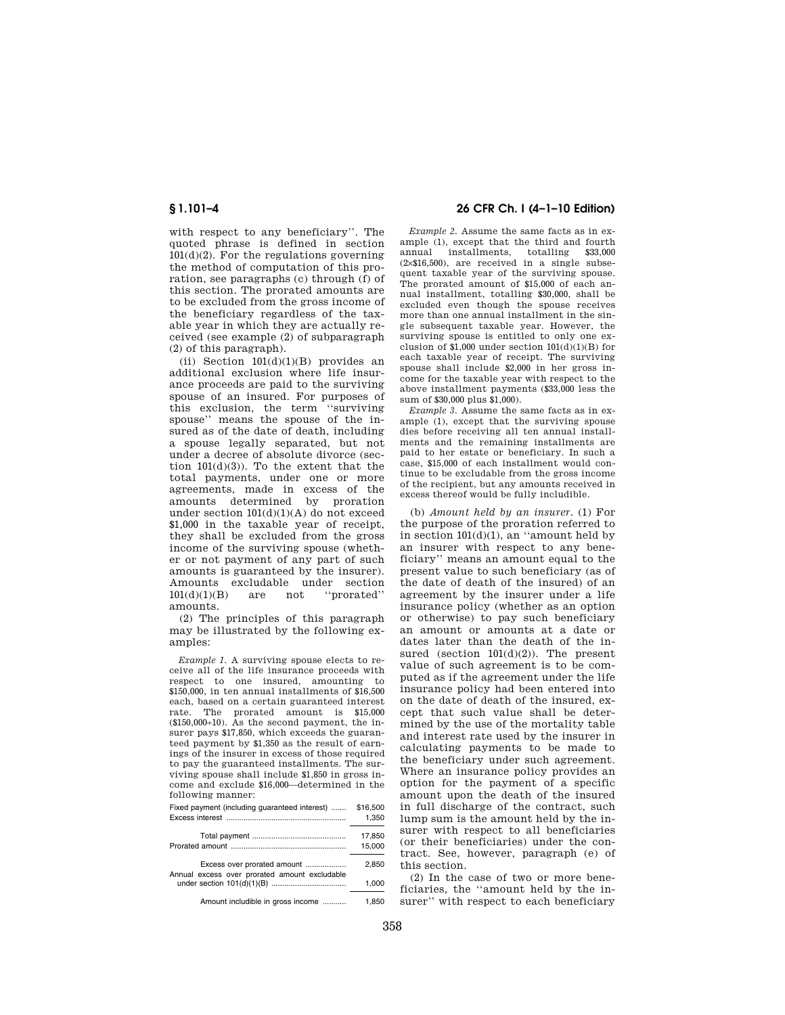with respect to any beneficiary''. The quoted phrase is defined in section  $101(d)(2)$ . For the regulations governing the method of computation of this proration, see paragraphs (c) through (f) of this section. The prorated amounts are to be excluded from the gross income of the beneficiary regardless of the taxable year in which they are actually received (see example (2) of subparagraph (2) of this paragraph).

(ii) Section  $101(d)(1)(B)$  provides an additional exclusion where life insurance proceeds are paid to the surviving spouse of an insured. For purposes of this exclusion, the term ''surviving spouse'' means the spouse of the insured as of the date of death, including a spouse legally separated, but not under a decree of absolute divorce (section  $101(d)(3)$ ). To the extent that the total payments, under one or more agreements, made in excess of the amounts determined by proration under section  $101(d)(1)(A)$  do not exceed \$1,000 in the taxable year of receipt, they shall be excluded from the gross income of the surviving spouse (whether or not payment of any part of such amounts is guaranteed by the insurer). Amounts excludable under section 101(d)(1)(B) are not ''prorated'' amounts.

(2) The principles of this paragraph may be illustrated by the following examples:

*Example 1.* A surviving spouse elects to receive all of the life insurance proceeds with respect to one insured, amounting to \$150,000, in ten annual installments of \$16,500 each, based on a certain guaranteed interest rate. The prorated amount is \$15,000  $($150,000+10)$ . As the second payment, the insurer pays \$17,850, which exceeds the guaranteed payment by \$1,350 as the result of earnings of the insurer in excess of those required to pay the guaranteed installments. The surviving spouse shall include \$1,850 in gross income and exclude \$16,000—determined in the following manner:

| Fixed payment (including guaranteed interest) | \$16,500 |
|-----------------------------------------------|----------|
| Excess interest                               | 1.350    |

|                                               | 17.850 |
|-----------------------------------------------|--------|
|                                               | 15,000 |
| Excess over prorated amount                   | 2.850  |
| Annual excess over prorated amount excludable | 1.000  |
| Amount includible in gross income             | 1.850  |

# **§ 1.101–4 26 CFR Ch. I (4–1–10 Edition)**

*Example 2.* Assume the same facts as in example (1), except that the third and fourth annual installments, totalling \$33,000 (2×\$16,500), are received in a single subsequent taxable year of the surviving spouse. The prorated amount of \$15,000 of each annual installment, totalling \$30,000, shall be excluded even though the spouse receives more than one annual installment in the single subsequent taxable year. However, the surviving spouse is entitled to only one exclusion of \$1,000 under section  $101(d)(1)(B)$  for each taxable year of receipt. The surviving spouse shall include \$2,000 in her gross income for the taxable year with respect to the above installment payments (\$33,000 less the sum of \$30,000 plus \$1,000).

*Example 3.* Assume the same facts as in example (1), except that the surviving spouse dies before receiving all ten annual installments and the remaining installments are paid to her estate or beneficiary. In such a case, \$15,000 of each installment would continue to be excludable from the gross income of the recipient, but any amounts received in excess thereof would be fully includible.

(b) *Amount held by an insurer.* (1) For the purpose of the proration referred to in section  $101(d)(1)$ , an "amount held by an insurer with respect to any beneficiary'' means an amount equal to the present value to such beneficiary (as of the date of death of the insured) of an agreement by the insurer under a life insurance policy (whether as an option or otherwise) to pay such beneficiary an amount or amounts at a date or dates later than the death of the insured (section  $101(d)(2)$ ). The present value of such agreement is to be computed as if the agreement under the life insurance policy had been entered into on the date of death of the insured, except that such value shall be determined by the use of the mortality table and interest rate used by the insurer in calculating payments to be made to the beneficiary under such agreement. Where an insurance policy provides an option for the payment of a specific amount upon the death of the insured in full discharge of the contract, such lump sum is the amount held by the insurer with respect to all beneficiaries (or their beneficiaries) under the contract. See, however, paragraph (e) of this section.

(2) In the case of two or more beneficiaries, the ''amount held by the insurer'' with respect to each beneficiary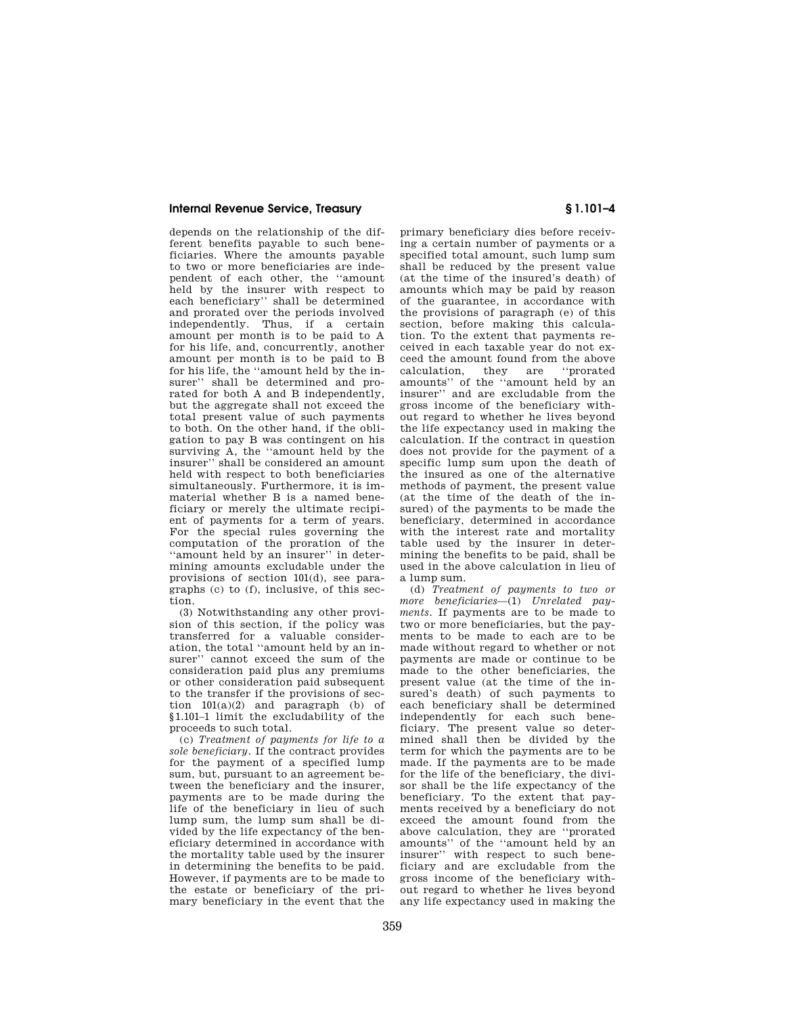depends on the relationship of the different benefits payable to such beneficiaries. Where the amounts payable to two or more beneficiaries are independent of each other, the ''amount held by the insurer with respect to each beneficiary'' shall be determined and prorated over the periods involved independently. Thus, if a certain amount per month is to be paid to A for his life, and, concurrently, another amount per month is to be paid to B for his life, the ''amount held by the insurer'' shall be determined and prorated for both A and B independently, but the aggregate shall not exceed the total present value of such payments to both. On the other hand, if the obligation to pay B was contingent on his surviving A, the ''amount held by the insurer'' shall be considered an amount held with respect to both beneficiaries simultaneously. Furthermore, it is immaterial whether B is a named beneficiary or merely the ultimate recipient of payments for a term of years. For the special rules governing the computation of the proration of the ''amount held by an insurer'' in determining amounts excludable under the provisions of section 101(d), see paragraphs (c) to (f), inclusive, of this section.

(3) Notwithstanding any other provision of this section, if the policy was transferred for a valuable consideration, the total ''amount held by an insurer'' cannot exceed the sum of the consideration paid plus any premiums or other consideration paid subsequent to the transfer if the provisions of section  $101(a)(2)$  and paragraph (b) of §1.101–1 limit the excludability of the proceeds to such total.

(c) *Treatment of payments for life to a sole beneficiary.* If the contract provides for the payment of a specified lump sum, but, pursuant to an agreement between the beneficiary and the insurer, payments are to be made during the life of the beneficiary in lieu of such lump sum, the lump sum shall be divided by the life expectancy of the beneficiary determined in accordance with the mortality table used by the insurer in determining the benefits to be paid. However, if payments are to be made to the estate or beneficiary of the primary beneficiary in the event that the

primary beneficiary dies before receiving a certain number of payments or a specified total amount, such lump sum shall be reduced by the present value (at the time of the insured's death) of amounts which may be paid by reason of the guarantee, in accordance with the provisions of paragraph (e) of this section, before making this calculation. To the extent that payments received in each taxable year do not exceed the amount found from the above calculation, they are ''prorated amounts'' of the ''amount held by an insurer'' and are excludable from the gross income of the beneficiary without regard to whether he lives beyond the life expectancy used in making the calculation. If the contract in question does not provide for the payment of a specific lump sum upon the death of the insured as one of the alternative methods of payment, the present value (at the time of the death of the insured) of the payments to be made the beneficiary, determined in accordance with the interest rate and mortality table used by the insurer in determining the benefits to be paid, shall be used in the above calculation in lieu of a lump sum.

(d) *Treatment of payments to two or more beneficiaries*—(1) *Unrelated payments.* If payments are to be made to two or more beneficiaries, but the payments to be made to each are to be made without regard to whether or not payments are made or continue to be made to the other beneficiaries, the present value (at the time of the insured's death) of such payments to each beneficiary shall be determined independently for each such beneficiary. The present value so determined shall then be divided by the term for which the payments are to be made. If the payments are to be made for the life of the beneficiary, the divisor shall be the life expectancy of the beneficiary. To the extent that payments received by a beneficiary do not exceed the amount found from the above calculation, they are ''prorated amounts'' of the ''amount held by an insurer'' with respect to such beneficiary and are excludable from the gross income of the beneficiary without regard to whether he lives beyond any life expectancy used in making the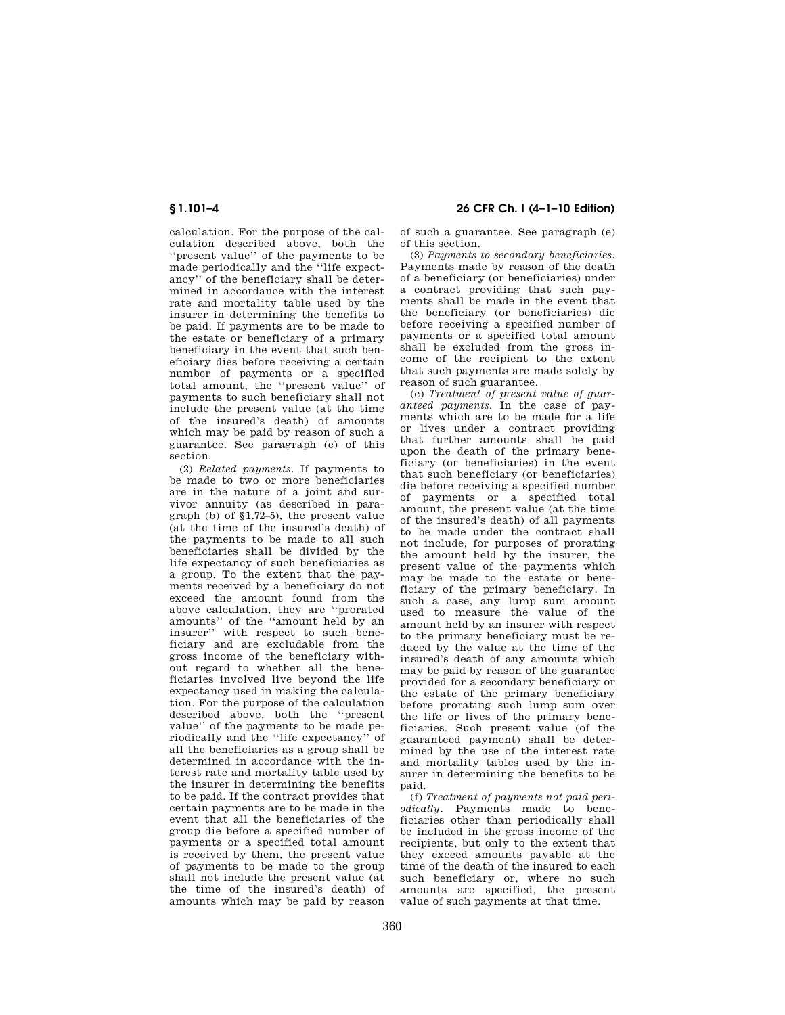calculation. For the purpose of the calculation described above, both the ''present value'' of the payments to be made periodically and the ''life expectancy'' of the beneficiary shall be determined in accordance with the interest rate and mortality table used by the insurer in determining the benefits to be paid. If payments are to be made to the estate or beneficiary of a primary beneficiary in the event that such beneficiary dies before receiving a certain number of payments or a specified total amount, the ''present value'' of payments to such beneficiary shall not include the present value (at the time of the insured's death) of amounts which may be paid by reason of such a guarantee. See paragraph (e) of this section.

(2) *Related payments.* If payments to be made to two or more beneficiaries are in the nature of a joint and survivor annuity (as described in paragraph (b) of §1.72–5), the present value (at the time of the insured's death) of the payments to be made to all such beneficiaries shall be divided by the life expectancy of such beneficiaries as a group. To the extent that the payments received by a beneficiary do not exceed the amount found from the above calculation, they are ''prorated amounts'' of the ''amount held by an insurer'' with respect to such beneficiary and are excludable from the gross income of the beneficiary without regard to whether all the beneficiaries involved live beyond the life expectancy used in making the calculation. For the purpose of the calculation described above, both the ''present value" of the payments to be made periodically and the "life expectancy" of riodically and the "life expectancy" all the beneficiaries as a group shall be determined in accordance with the interest rate and mortality table used by the insurer in determining the benefits to be paid. If the contract provides that certain payments are to be made in the event that all the beneficiaries of the group die before a specified number of payments or a specified total amount is received by them, the present value of payments to be made to the group shall not include the present value (at the time of the insured's death) of amounts which may be paid by reason

# **§ 1.101–4 26 CFR Ch. I (4–1–10 Edition)**

of such a guarantee. See paragraph (e) of this section.

(3) *Payments to secondary beneficiaries.*  Payments made by reason of the death of a beneficiary (or beneficiaries) under a contract providing that such payments shall be made in the event that the beneficiary (or beneficiaries) die before receiving a specified number of payments or a specified total amount shall be excluded from the gross income of the recipient to the extent that such payments are made solely by reason of such guarantee.

(e) *Treatment of present value of guaranteed payments.* In the case of payments which are to be made for a life or lives under a contract providing that further amounts shall be paid upon the death of the primary beneficiary (or beneficiaries) in the event that such beneficiary (or beneficiaries) die before receiving a specified number of payments or a specified total amount, the present value (at the time of the insured's death) of all payments to be made under the contract shall not include, for purposes of prorating the amount held by the insurer, the present value of the payments which may be made to the estate or beneficiary of the primary beneficiary. In such a case, any lump sum amount used to measure the value of the amount held by an insurer with respect to the primary beneficiary must be reduced by the value at the time of the insured's death of any amounts which may be paid by reason of the guarantee provided for a secondary beneficiary or the estate of the primary beneficiary before prorating such lump sum over the life or lives of the primary beneficiaries. Such present value (of the guaranteed payment) shall be determined by the use of the interest rate and mortality tables used by the insurer in determining the benefits to be paid.

(f) *Treatment of payments not paid periodically.* Payments made to beneficiaries other than periodically shall be included in the gross income of the recipients, but only to the extent that they exceed amounts payable at the time of the death of the insured to each such beneficiary or, where no such amounts are specified, the present value of such payments at that time.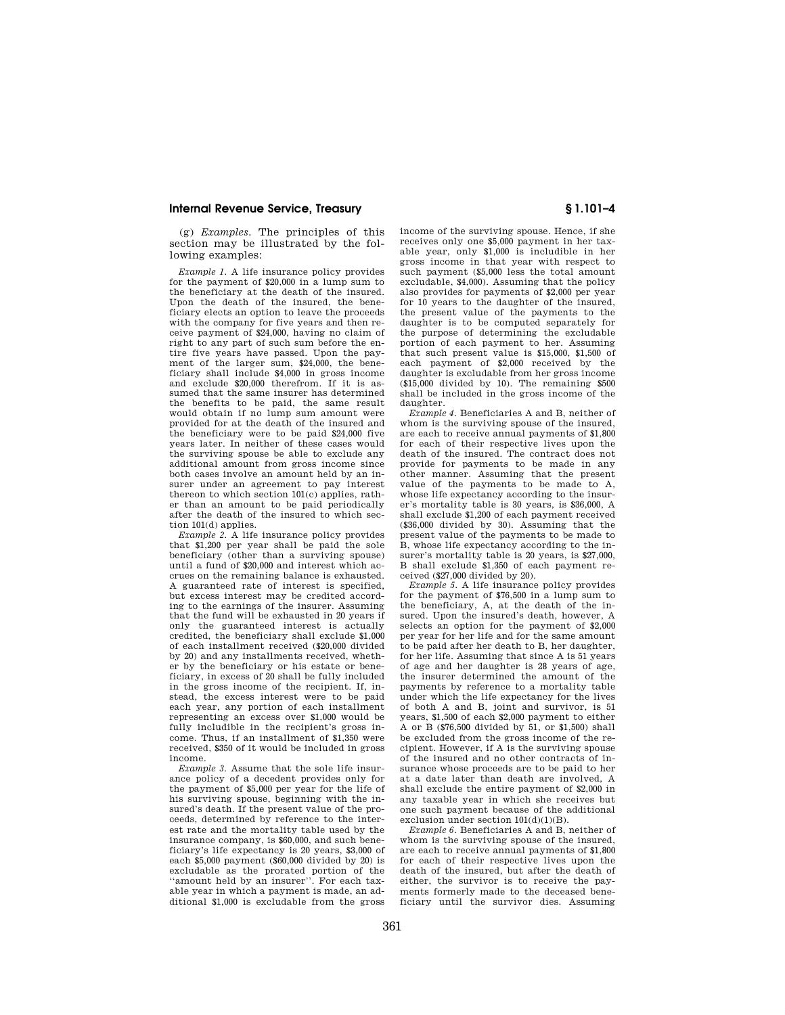(g) *Examples.* The principles of this section may be illustrated by the following examples:

*Example 1.* A life insurance policy provides for the payment of \$20,000 in a lump sum to the beneficiary at the death of the insured. Upon the death of the insured, the beneficiary elects an option to leave the proceeds with the company for five years and then receive payment of \$24,000, having no claim of right to any part of such sum before the entire five years have passed. Upon the payment of the larger sum, \$24,000, the beneficiary shall include \$4,000 in gross income and exclude \$20,000 therefrom. If it is assumed that the same insurer has determined the benefits to be paid, the same result would obtain if no lump sum amount were provided for at the death of the insured and the beneficiary were to be paid \$24,000 five years later. In neither of these cases would the surviving spouse be able to exclude any additional amount from gross income since both cases involve an amount held by an insurer under an agreement to pay interest thereon to which section 101(c) applies, rather than an amount to be paid periodically after the death of the insured to which section 101(d) applies.

*Example 2.* A life insurance policy provides that \$1,200 per year shall be paid the sole beneficiary (other than a surviving spouse) until a fund of \$20,000 and interest which accrues on the remaining balance is exhausted. A guaranteed rate of interest is specified, but excess interest may be credited according to the earnings of the insurer. Assuming that the fund will be exhausted in 20 years if only the guaranteed interest is actually credited, the beneficiary shall exclude \$1,000 of each installment received (\$20,000 divided by 20) and any installments received, whether by the beneficiary or his estate or beneficiary, in excess of 20 shall be fully included in the gross income of the recipient. If, instead, the excess interest were to be paid each year, any portion of each installment representing an excess over \$1,000 would be fully includible in the recipient's gross income. Thus, if an installment of \$1,350 were received, \$350 of it would be included in gross income.

*Example 3.* Assume that the sole life insurance policy of a decedent provides only for the payment of \$5,000 per year for the life of his surviving spouse, beginning with the insured's death. If the present value of the proceeds, determined by reference to the interest rate and the mortality table used by the insurance company, is \$60,000, and such beneficiary's life expectancy is 20 years, \$3,000 of each \$5,000 payment (\$60,000 divided by 20) is excludable as the prorated portion of the "amount held by an insurer". For each taxable year in which a payment is made, an additional \$1,000 is excludable from the gross

income of the surviving spouse. Hence, if she receives only one \$5,000 payment in her taxable year, only \$1,000 is includible in her gross income in that year with respect to such payment (\$5,000 less the total amount excludable, \$4,000). Assuming that the policy also provides for payments of \$2,000 per year for 10 years to the daughter of the insured, the present value of the payments to the daughter is to be computed separately for the purpose of determining the excludable portion of each payment to her. Assuming that such present value is \$15,000, \$1,500 of each payment of \$2,000 received by the daughter is excludable from her gross income (\$15,000 divided by 10). The remaining \$500 shall be included in the gross income of the daughter.

*Example 4.* Beneficiaries A and B, neither of whom is the surviving spouse of the insured, are each to receive annual payments of \$1,800 for each of their respective lives upon the death of the insured. The contract does not provide for payments to be made in any other manner. Assuming that the present value of the payments to be made to A, whose life expectancy according to the insurer's mortality table is 30 years, is \$36,000, A shall exclude \$1,200 of each payment received (\$36,000 divided by 30). Assuming that the present value of the payments to be made to B, whose life expectancy according to the insurer's mortality table is 20 years, is \$27,000, B shall exclude \$1,350 of each payment received (\$27,000 divided by 20).

*Example 5.* A life insurance policy provides for the payment of \$76,500 in a lump sum to the beneficiary, A, at the death of the insured. Upon the insured's death, however, A selects an option for the payment of \$2,000 per year for her life and for the same amount to be paid after her death to B, her daughter, for her life. Assuming that since A is 51 years of age and her daughter is 28 years of age, the insurer determined the amount of the payments by reference to a mortality table under which the life expectancy for the lives of both A and B, joint and survivor, is 51 years, \$1,500 of each \$2,000 payment to either A or B (\$76,500 divided by 51, or \$1,500) shall be excluded from the gross income of the recipient. However, if A is the surviving spouse of the insured and no other contracts of insurance whose proceeds are to be paid to her at a date later than death are involved, A shall exclude the entire payment of \$2,000 in any taxable year in which she receives but one such payment because of the additional exclusion under section 101(d)(1)(B).

*Example 6.* Beneficiaries A and B, neither of whom is the surviving spouse of the insured. are each to receive annual payments of \$1,800 for each of their respective lives upon the death of the insured, but after the death of either, the survivor is to receive the payments formerly made to the deceased beneficiary until the survivor dies. Assuming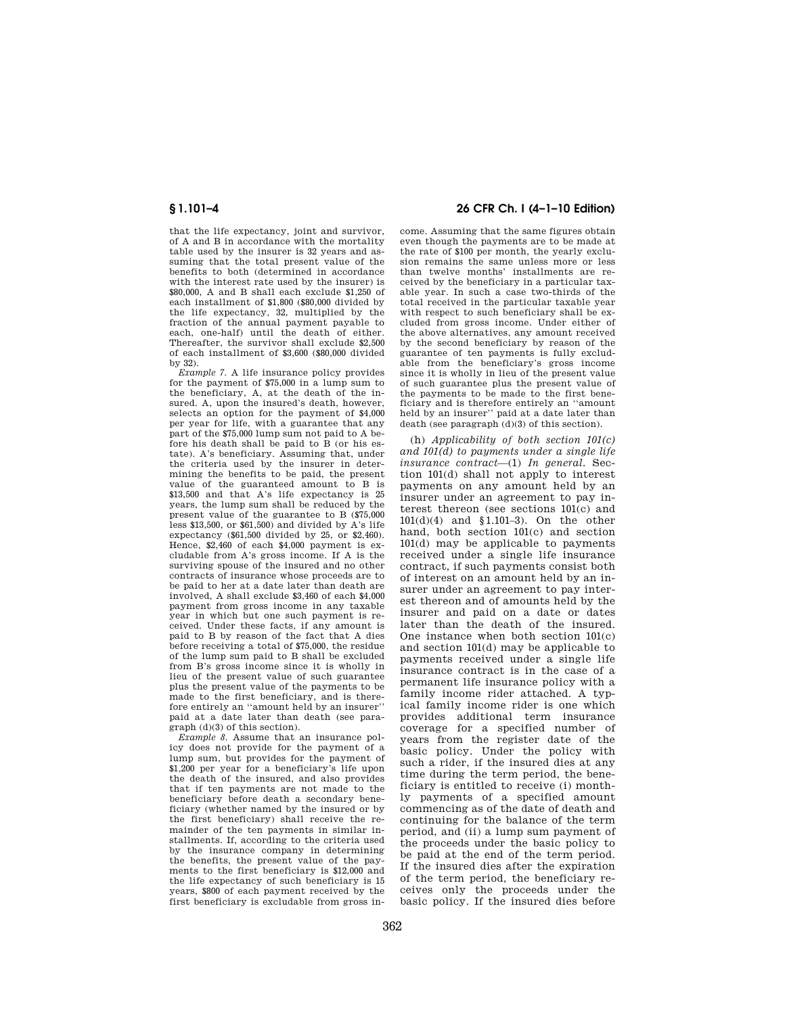that the life expectancy, joint and survivor, of A and B in accordance with the mortality table used by the insurer is 32 years and assuming that the total present value of the benefits to both (determined in accordance with the interest rate used by the insurer) is \$80,000, A and B shall each exclude \$1,250 of each installment of \$1,800 (\$80,000 divided by the life expectancy, 32, multiplied by the fraction of the annual payment payable to each, one-half) until the death of either. Thereafter, the survivor shall exclude \$2,500 of each installment of \$3,600 (\$80,000 divided by 32).

*Example 7.* A life insurance policy provides for the payment of \$75,000 in a lump sum to the beneficiary, A, at the death of the insured. A, upon the insured's death, however, selects an option for the payment of \$4,000 per year for life, with a guarantee that any part of the \$75,000 lump sum not paid to A before his death shall be paid to B (or his estate). A's beneficiary. Assuming that, under the criteria used by the insurer in determining the benefits to be paid, the present value of the guaranteed amount to B is \$13,500 and that A's life expectancy is 25 years, the lump sum shall be reduced by the present value of the guarantee to B (\$75,000 less  $$13,500$ , or  $$61,500$  and divided by A's life expectancy (\$61,500 divided by 25, or \$2,460). Hence, \$2,460 of each \$4,000 payment is excludable from A's gross income. If A is the surviving spouse of the insured and no other contracts of insurance whose proceeds are to be paid to her at a date later than death are involved, A shall exclude \$3,460 of each \$4,000 payment from gross income in any taxable year in which but one such payment is received. Under these facts, if any amount is paid to B by reason of the fact that A dies before receiving a total of \$75,000, the residue of the lump sum paid to B shall be excluded from B's gross income since it is wholly in lieu of the present value of such guarantee plus the present value of the payments to be made to the first beneficiary, and is therefore entirely an ''amount held by an insurer'' paid at a date later than death (see paragraph (d)(3) of this section).

*Example 8.* Assume that an insurance policy does not provide for the payment of a lump sum, but provides for the payment of \$1,200 per year for a beneficiary's life upon the death of the insured, and also provides that if ten payments are not made to the beneficiary before death a secondary beneficiary (whether named by the insured or by the first beneficiary) shall receive the remainder of the ten payments in similar installments. If, according to the criteria used by the insurance company in determining the benefits, the present value of the payments to the first beneficiary is \$12,000 and the life expectancy of such beneficiary is 15 years, \$800 of each payment received by the first beneficiary is excludable from gross in-

## **§ 1.101–4 26 CFR Ch. I (4–1–10 Edition)**

come. Assuming that the same figures obtain even though the payments are to be made at the rate of \$100 per month, the yearly exclusion remains the same unless more or less than twelve months' installments are received by the beneficiary in a particular taxable year. In such a case two-thirds of the total received in the particular taxable year with respect to such beneficiary shall be excluded from gross income. Under either of the above alternatives, any amount received by the second beneficiary by reason of the guarantee of ten payments is fully excludable from the beneficiary's gross income since it is wholly in lieu of the present value of such guarantee plus the present value of the payments to be made to the first beneficiary and is therefore entirely an ''amount held by an insurer'' paid at a date later than death (see paragraph (d)(3) of this section).

(h) *Applicability of both section 101(c) and 101(d) to payments under a single life insurance contract*—(1) *In general.* Section 101(d) shall not apply to interest payments on any amount held by an insurer under an agreement to pay interest thereon (see sections 101(c) and 101(d)(4) and §1.101–3). On the other hand, both section 101(c) and section 101(d) may be applicable to payments received under a single life insurance contract, if such payments consist both of interest on an amount held by an insurer under an agreement to pay interest thereon and of amounts held by the insurer and paid on a date or dates later than the death of the insured. One instance when both section 101(c) and section 101(d) may be applicable to payments received under a single life insurance contract is in the case of a permanent life insurance policy with a family income rider attached. A typical family income rider is one which provides additional term insurance coverage for a specified number of years from the register date of the basic policy. Under the policy with such a rider, if the insured dies at any time during the term period, the beneficiary is entitled to receive (i) monthly payments of a specified amount commencing as of the date of death and continuing for the balance of the term period, and (ii) a lump sum payment of the proceeds under the basic policy to be paid at the end of the term period. If the insured dies after the expiration of the term period, the beneficiary receives only the proceeds under the basic policy. If the insured dies before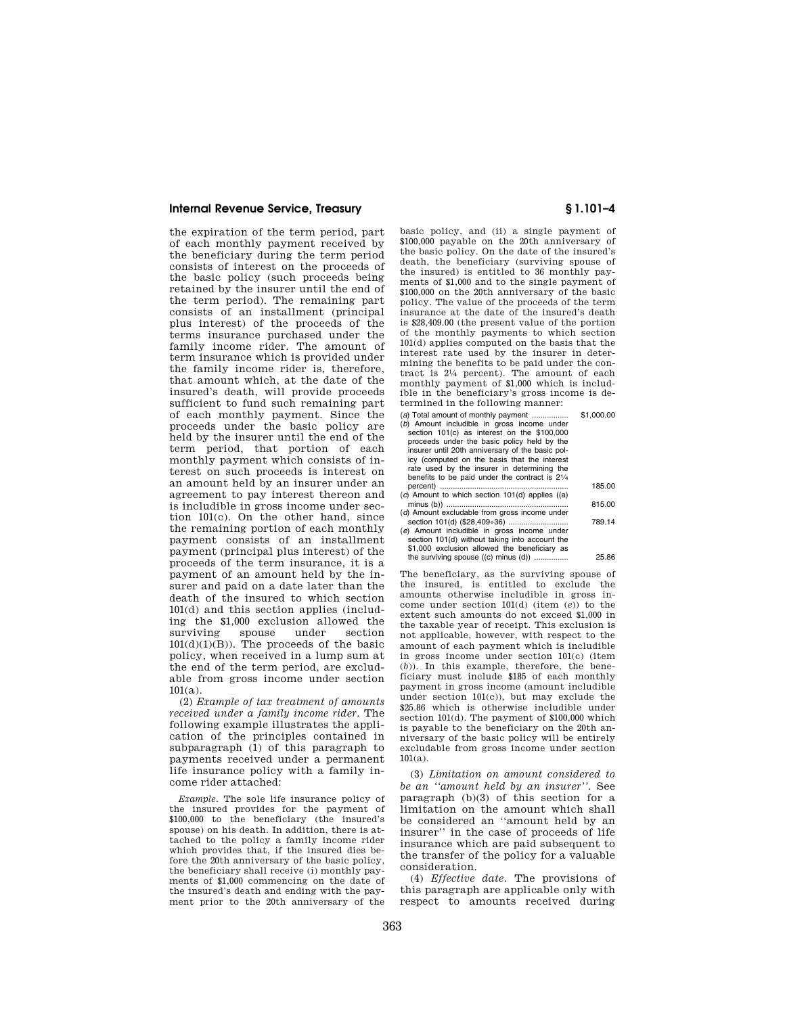the expiration of the term period, part of each monthly payment received by the beneficiary during the term period consists of interest on the proceeds of the basic policy (such proceeds being retained by the insurer until the end of the term period). The remaining part consists of an installment (principal plus interest) of the proceeds of the terms insurance purchased under the family income rider. The amount of term insurance which is provided under the family income rider is, therefore, that amount which, at the date of the insured's death, will provide proceeds sufficient to fund such remaining part of each monthly payment. Since the proceeds under the basic policy are held by the insurer until the end of the term period, that portion of each monthly payment which consists of interest on such proceeds is interest on an amount held by an insurer under an agreement to pay interest thereon and is includible in gross income under section 101(c). On the other hand, since the remaining portion of each monthly payment consists of an installment payment (principal plus interest) of the proceeds of the term insurance, it is a payment of an amount held by the insurer and paid on a date later than the death of the insured to which section 101(d) and this section applies (including the \$1,000 exclusion allowed the surviving spouse under section  $101(d)(1)(B)$ . The proceeds of the basic policy, when received in a lump sum at the end of the term period, are excludable from gross income under section  $101(a)$ .

(2) *Example of tax treatment of amounts received under a family income rider.* The following example illustrates the application of the principles contained in subparagraph (1) of this paragraph to payments received under a permanent life insurance policy with a family income rider attached:

*Example.* The sole life insurance policy of the insured provides for the payment of \$100,000 to the beneficiary (the insured's spouse) on his death. In addition, there is attached to the policy a family income rider which provides that, if the insured dies before the 20th anniversary of the basic policy, the beneficiary shall receive (i) monthly payments of \$1,000 commencing on the date of the insured's death and ending with the payment prior to the 20th anniversary of the

basic policy, and (ii) a single payment of \$100,000 payable on the 20th anniversary of the basic policy. On the date of the insured's death, the beneficiary (surviving spouse of the insured) is entitled to 36 monthly payments of \$1,000 and to the single payment of \$100,000 on the 20th anniversary of the basic policy. The value of the proceeds of the term insurance at the date of the insured's death is \$28,409.00 (the present value of the portion of the monthly payments to which section 101(d) applies computed on the basis that the interest rate used by the insurer in determining the benefits to be paid under the contract is 21⁄4 percent). The amount of each monthly payment of \$1,000 which is includible in the beneficiary's gross income is determined in the following manner:

| (a) Total amount of monthly payment                      | \$1,000.00 |
|----------------------------------------------------------|------------|
| (b) Amount includible in gross income under              |            |
| section 101(c) as interest on the \$100,000              |            |
| proceeds under the basic policy held by the              |            |
| insurer until 20th anniversary of the basic pol-         |            |
| icy (computed on the basis that the interest             |            |
| rate used by the insurer in determining the              |            |
| benefits to be paid under the contract is $2\frac{1}{4}$ |            |
|                                                          | 185.00     |
| (c) Amount to which section 101(d) applies ((a)          |            |
|                                                          | 815.00     |
| (d) Amount excludable from gross income under            |            |
|                                                          | 789.14     |
| (e) Amount includible in gross income under              |            |
| section 101(d) without taking into account the           |            |
| \$1,000 exclusion allowed the beneficiary as             |            |
| the surviving spouse $((c)$ minus $(d))$                 | 25.86      |

The beneficiary, as the surviving spouse of the insured, is entitled to exclude the amounts otherwise includible in gross income under section 101(d) (item (*e*)) to the extent such amounts do not exceed \$1,000 in the taxable year of receipt. This exclusion is not applicable, however, with respect to the amount of each payment which is includible in gross income under section 101(c) (item (*b*)). In this example, therefore, the beneficiary must include \$185 of each monthly payment in gross income (amount includible under section 101(c)), but may exclude the \$25.86 which is otherwise includible under section 101(d). The payment of \$100,000 which is payable to the beneficiary on the 20th anniversary of the basic policy will be entirely excludable from gross income under section  $101(a)$ .

(3) *Limitation on amount considered to be an ''amount held by an insurer''.* See paragraph (b)(3) of this section for a limitation on the amount which shall be considered an ''amount held by an insurer'' in the case of proceeds of life insurance which are paid subsequent to the transfer of the policy for a valuable consideration.

(4) *Effective date.* The provisions of this paragraph are applicable only with respect to amounts received during